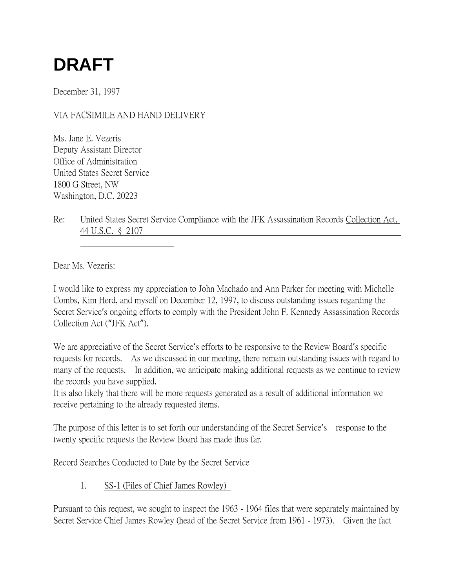# **DRAFT**

December 31, 1997

## VIA FACSIMILE AND HAND DELIVERY

Ms. Jane E. Vezeris Deputy Assistant Director Office of Administration United States Secret Service 1800 G Street, NW Washington, D.C. 20223

Re: United States Secret Service Compliance with the JFK Assassination Records Collection Act, 44 U.S.C. § 2107

Dear Ms. Vezeris:

I would like to express my appreciation to John Machado and Ann Parker for meeting with Michelle Combs, Kim Herd, and myself on December 12, 1997, to discuss outstanding issues regarding the Secret Service's ongoing efforts to comply with the President John F. Kennedy Assassination Records Collection Act ("JFK Act").

We are appreciative of the Secret Service's efforts to be responsive to the Review Board's specific requests for records. As we discussed in our meeting, there remain outstanding issues with regard to many of the requests. In addition, we anticipate making additional requests as we continue to review the records you have supplied.

It is also likely that there will be more requests generated as a result of additional information we receive pertaining to the already requested items.

The purpose of this letter is to set forth our understanding of the Secret Service's response to the twenty specific requests the Review Board has made thus far.

#### Record Searches Conducted to Date by the Secret Service

1. SS-1 (Files of Chief James Rowley)

Pursuant to this request, we sought to inspect the 1963 - 1964 files that were separately maintained by Secret Service Chief James Rowley (head of the Secret Service from 1961 - 1973). Given the fact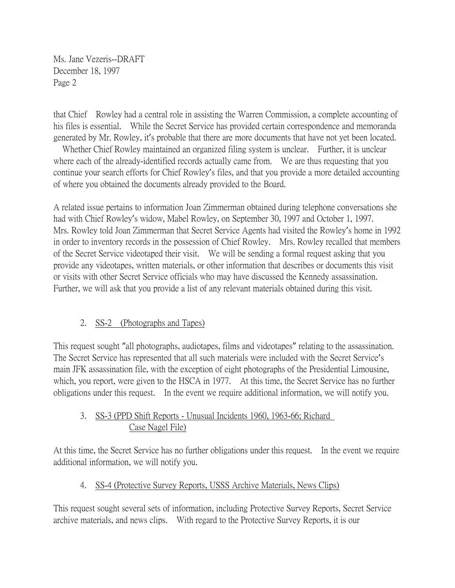that Chief Rowley had a central role in assisting the Warren Commission, a complete accounting of his files is essential. While the Secret Service has provided certain correspondence and memoranda generated by Mr. Rowley, it's probable that there are more documents that have not yet been located.

Whether Chief Rowley maintained an organized filing system is unclear. Further, it is unclear where each of the already-identified records actually came from. We are thus requesting that you continue your search efforts for Chief Rowley's files, and that you provide a more detailed accounting of where you obtained the documents already provided to the Board.

A related issue pertains to information Joan Zimmerman obtained during telephone conversations she had with Chief Rowley's widow, Mabel Rowley, on September 30, 1997 and October 1, 1997. Mrs. Rowley told Joan Zimmerman that Secret Service Agents had visited the Rowley's home in 1992 in order to inventory records in the possession of Chief Rowley. Mrs. Rowley recalled that members of the Secret Service videotaped their visit. We will be sending a formal request asking that you provide any videotapes, written materials, or other information that describes or documents this visit or visits with other Secret Service officials who may have discussed the Kennedy assassination. Further, we will ask that you provide a list of any relevant materials obtained during this visit.

## 2. SS-2 (Photographs and Tapes)

This request sought "all photographs, audiotapes, films and videotapes" relating to the assassination. The Secret Service has represented that all such materials were included with the Secret Service's main JFK assassination file, with the exception of eight photographs of the Presidential Limousine, which, you report, were given to the HSCA in 1977. At this time, the Secret Service has no further obligations under this request. In the event we require additional information, we will notify you.

## 3. SS-3 (PPD Shift Reports - Unusual Incidents 1960, 1963-66; Richard Case Nagel File)

At this time, the Secret Service has no further obligations under this request. In the event we require additional information, we will notify you.

## 4. SS-4 (Protective Survey Reports, USSS Archive Materials, News Clips)

This request sought several sets of information, including Protective Survey Reports, Secret Service archive materials, and news clips. With regard to the Protective Survey Reports, it is our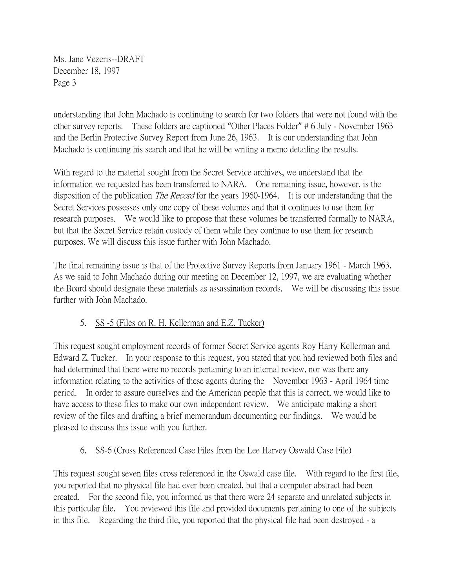understanding that John Machado is continuing to search for two folders that were not found with the other survey reports. These folders are captioned "Other Places Folder" # 6 July - November 1963 and the Berlin Protective Survey Report from June 26, 1963. It is our understanding that John Machado is continuing his search and that he will be writing a memo detailing the results.

With regard to the material sought from the Secret Service archives, we understand that the information we requested has been transferred to NARA. One remaining issue, however, is the disposition of the publication *The Record* for the years 1960-1964. It is our understanding that the Secret Services possesses only one copy of these volumes and that it continues to use them for research purposes. We would like to propose that these volumes be transferred formally to NARA, but that the Secret Service retain custody of them while they continue to use them for research purposes. We will discuss this issue further with John Machado.

The final remaining issue is that of the Protective Survey Reports from January 1961 - March 1963. As we said to John Machado during our meeting on December 12, 1997, we are evaluating whether the Board should designate these materials as assassination records. We will be discussing this issue further with John Machado.

# 5. SS -5 (Files on R. H. Kellerman and E.Z. Tucker)

This request sought employment records of former Secret Service agents Roy Harry Kellerman and Edward Z. Tucker. In your response to this request, you stated that you had reviewed both files and had determined that there were no records pertaining to an internal review, nor was there any information relating to the activities of these agents during the November 1963 - April 1964 time period. In order to assure ourselves and the American people that this is correct, we would like to have access to these files to make our own independent review. We anticipate making a short review of the files and drafting a brief memorandum documenting our findings. We would be pleased to discuss this issue with you further.

# 6. SS-6 (Cross Referenced Case Files from the Lee Harvey Oswald Case File)

This request sought seven files cross referenced in the Oswald case file. With regard to the first file, you reported that no physical file had ever been created, but that a computer abstract had been created. For the second file, you informed us that there were 24 separate and unrelated subjects in this particular file. You reviewed this file and provided documents pertaining to one of the subjects in this file. Regarding the third file, you reported that the physical file had been destroyed - a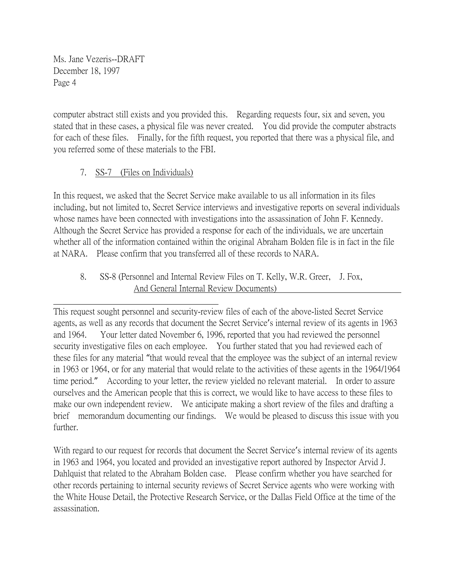computer abstract still exists and you provided this. Regarding requests four, six and seven, you stated that in these cases, a physical file was never created. You did provide the computer abstracts for each of these files. Finally, for the fifth request, you reported that there was a physical file, and you referred some of these materials to the FBI.

## 7. SS-7 (Files on Individuals)

In this request, we asked that the Secret Service make available to us all information in its files including, but not limited to, Secret Service interviews and investigative reports on several individuals whose names have been connected with investigations into the assassination of John F. Kennedy. Although the Secret Service has provided a response for each of the individuals, we are uncertain whether all of the information contained within the original Abraham Bolden file is in fact in the file at NARA. Please confirm that you transferred all of these records to NARA.

## 8. SS-8 (Personnel and Internal Review Files on T. Kelly, W.R. Greer, J. Fox, And General Internal Review Documents)

This request sought personnel and security-review files of each of the above-listed Secret Service agents, as well as any records that document the Secret Service's internal review of its agents in 1963 and 1964. Your letter dated November 6, 1996, reported that you had reviewed the personnel security investigative files on each employee. You further stated that you had reviewed each of these files for any material "that would reveal that the employee was the subject of an internal review in 1963 or 1964, or for any material that would relate to the activities of these agents in the 1964/1964 time period." According to your letter, the review yielded no relevant material. In order to assure ourselves and the American people that this is correct, we would like to have access to these files to make our own independent review. We anticipate making a short review of the files and drafting a brief memorandum documenting our findings. We would be pleased to discuss this issue with you further.

With regard to our request for records that document the Secret Service's internal review of its agents in 1963 and 1964, you located and provided an investigative report authored by Inspector Arvid J. Dahlquist that related to the Abraham Bolden case. Please confirm whether you have searched for other records pertaining to internal security reviews of Secret Service agents who were working with the White House Detail, the Protective Research Service, or the Dallas Field Office at the time of the assassination.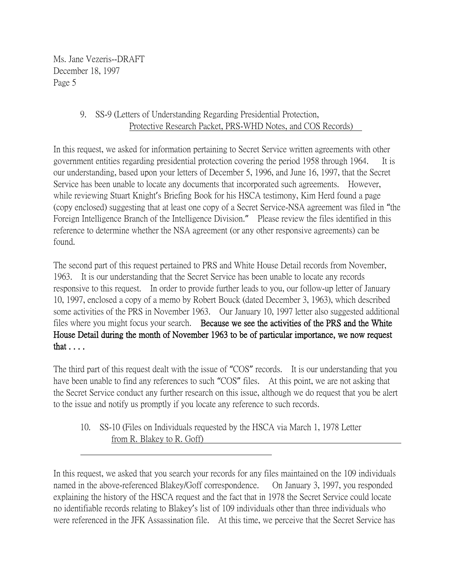## 9. SS-9 (Letters of Understanding Regarding Presidential Protection, Protective Research Packet, PRS-WHD Notes, and COS Records)

In this request, we asked for information pertaining to Secret Service written agreements with other government entities regarding presidential protection covering the period 1958 through 1964. It is our understanding, based upon your letters of December 5, 1996, and June 16, 1997, that the Secret Service has been unable to locate any documents that incorporated such agreements. However, while reviewing Stuart Knight's Briefing Book for his HSCA testimony, Kim Herd found a page (copy enclosed) suggesting that at least one copy of a Secret Service-NSA agreement was filed in "the Foreign Intelligence Branch of the Intelligence Division." Please review the files identified in this reference to determine whether the NSA agreement (or any other responsive agreements) can be found.

The second part of this request pertained to PRS and White House Detail records from November, 1963. It is our understanding that the Secret Service has been unable to locate any records responsive to this request. In order to provide further leads to you, our follow-up letter of January 10, 1997, enclosed a copy of a memo by Robert Bouck (dated December 3, 1963), which described some activities of the PRS in November 1963. Our January 10, 1997 letter also suggested additional files where you might focus your search. Because we see the activities of the PRS and the White House Detail during the month of November 1963 to be of particular importance, we now request that . . . .

The third part of this request dealt with the issue of "COS" records. It is our understanding that you have been unable to find any references to such "COS" files. At this point, we are not asking that the Secret Service conduct any further research on this issue, although we do request that you be alert to the issue and notify us promptly if you locate any reference to such records.

10. SS-10 (Files on Individuals requested by the HSCA via March 1, 1978 Letter from R. Blakey to R. Goff)

In this request, we asked that you search your records for any files maintained on the 109 individuals named in the above-referenced Blakey/Goff correspondence. On January 3, 1997, you responded explaining the history of the HSCA request and the fact that in 1978 the Secret Service could locate no identifiable records relating to Blakey's list of 109 individuals other than three individuals who were referenced in the JFK Assassination file. At this time, we perceive that the Secret Service has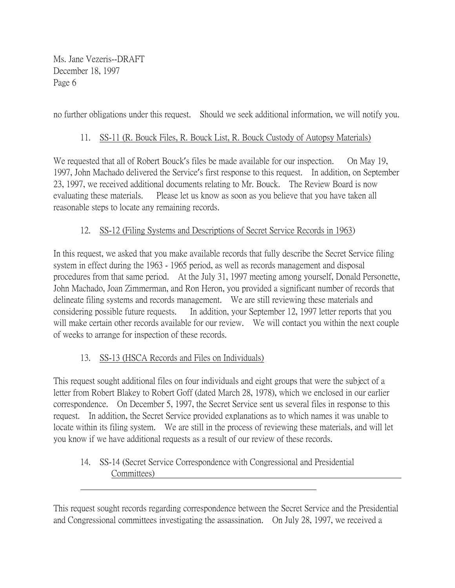no further obligations under this request. Should we seek additional information, we will notify you.

#### 11. SS-11 (R. Bouck Files, R. Bouck List, R. Bouck Custody of Autopsy Materials)

We requested that all of Robert Bouck's files be made available for our inspection. On May 19, 1997, John Machado delivered the Service's first response to this request. In addition, on September 23, 1997, we received additional documents relating to Mr. Bouck. The Review Board is now evaluating these materials. Please let us know as soon as you believe that you have taken all reasonable steps to locate any remaining records.

#### 12. SS-12 (Filing Systems and Descriptions of Secret Service Records in 1963)

In this request, we asked that you make available records that fully describe the Secret Service filing system in effect during the 1963 - 1965 period, as well as records management and disposal procedures from that same period. At the July 31, 1997 meeting among yourself, Donald Personette, John Machado, Joan Zimmerman, and Ron Heron, you provided a significant number of records that delineate filing systems and records management. We are still reviewing these materials and considering possible future requests. In addition, your September 12, 1997 letter reports that you will make certain other records available for our review. We will contact you within the next couple of weeks to arrange for inspection of these records.

## 13. SS-13 (HSCA Records and Files on Individuals)

This request sought additional files on four individuals and eight groups that were the subject of a letter from Robert Blakey to Robert Goff (dated March 28, 1978), which we enclosed in our earlier correspondence. On December 5, 1997, the Secret Service sent us several files in response to this request. In addition, the Secret Service provided explanations as to which names it was unable to locate within its filing system. We are still in the process of reviewing these materials, and will let you know if we have additional requests as a result of our review of these records.

## 14. SS-14 (Secret Service Correspondence with Congressional and Presidential Committees)

This request sought records regarding correspondence between the Secret Service and the Presidential and Congressional committees investigating the assassination. On July 28, 1997, we received a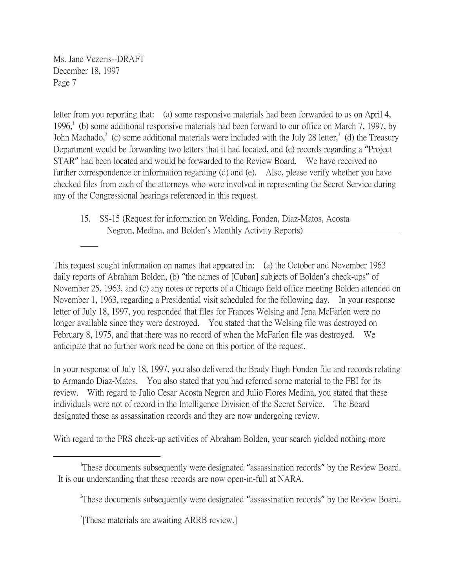letter from you reporting that: (a) some responsive materials had been forwarded to us on April 4, 1996,<sup>1</sup> (b) some additional responsive materials had been forward to our office on March 7, 1997, by John Machado,<sup>2</sup> (c) some additional materials were included with the July 28 letter,<sup>3</sup> (d) the Treasury Department would be forwarding two letters that it had located, and (e) records regarding a "Project STAR" had been located and would be forwarded to the Review Board. We have received no further correspondence or information regarding (d) and (e). Also, please verify whether you have checked files from each of the attorneys who were involved in representing the Secret Service during any of the Congressional hearings referenced in this request.

15. SS-15 (Request for information on Welding, Fonden, Diaz-Matos, Acosta Negron, Medina, and Bolden's Monthly Activity Reports)

This request sought information on names that appeared in: (a) the October and November 1963 daily reports of Abraham Bolden, (b) "the names of [Cuban] subjects of Bolden's check-ups" of November 25, 1963, and (c) any notes or reports of a Chicago field office meeting Bolden attended on November 1, 1963, regarding a Presidential visit scheduled for the following day. In your response letter of July 18, 1997, you responded that files for Frances Welsing and Jena McFarlen were no longer available since they were destroyed. You stated that the Welsing file was destroyed on February 8, 1975, and that there was no record of when the McFarlen file was destroyed. We anticipate that no further work need be done on this portion of the request.

In your response of July 18, 1997, you also delivered the Brady Hugh Fonden file and records relating to Armando Diaz-Matos. You also stated that you had referred some material to the FBI for its review. With regard to Julio Cesar Acosta Negron and Julio Flores Medina, you stated that these individuals were not of record in the Intelligence Division of the Secret Service. The Board designated these as assassination records and they are now undergoing review.

With regard to the PRS check-up activities of Abraham Bolden, your search yielded nothing more

 $\overline{a}$ 

<sup>&</sup>lt;sup>1</sup>These documents subsequently were designated "assassination records" by the Review Board. It is our understanding that these records are now open-in-full at NARA.

<sup>&</sup>lt;sup>2</sup>These documents subsequently were designated "assassination records" by the Review Board.

<sup>&</sup>lt;sup>3</sup>[These materials are awaiting ARRB review.]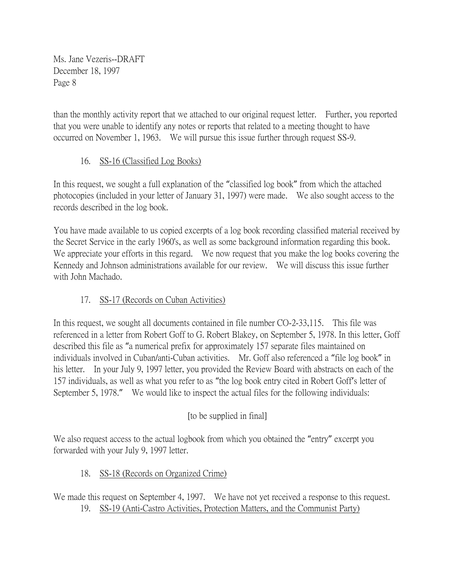than the monthly activity report that we attached to our original request letter. Further, you reported that you were unable to identify any notes or reports that related to a meeting thought to have occurred on November 1, 1963. We will pursue this issue further through request SS-9.

## 16. SS-16 (Classified Log Books)

In this request, we sought a full explanation of the "classified log book" from which the attached photocopies (included in your letter of January 31, 1997) were made. We also sought access to the records described in the log book.

You have made available to us copied excerpts of a log book recording classified material received by the Secret Service in the early 1960's, as well as some background information regarding this book. We appreciate your efforts in this regard. We now request that you make the log books covering the Kennedy and Johnson administrations available for our review. We will discuss this issue further with John Machado.

# 17. SS-17 (Records on Cuban Activities)

In this request, we sought all documents contained in file number CO-2-33,115. This file was referenced in a letter from Robert Goff to G. Robert Blakey, on September 5, 1978. In this letter, Goff described this file as "a numerical prefix for approximately 157 separate files maintained on individuals involved in Cuban/anti-Cuban activities. Mr. Goff also referenced a "file log book" in his letter. In your July 9, 1997 letter, you provided the Review Board with abstracts on each of the 157 individuals, as well as what you refer to as "the log book entry cited in Robert Goff's letter of September 5, 1978." We would like to inspect the actual files for the following individuals:

# [to be supplied in final]

We also request access to the actual logbook from which you obtained the "entry" excerpt you forwarded with your July 9, 1997 letter.

# 18. SS-18 (Records on Organized Crime)

We made this request on September 4, 1997. We have not yet received a response to this request. 19. SS-19 (Anti-Castro Activities, Protection Matters, and the Communist Party)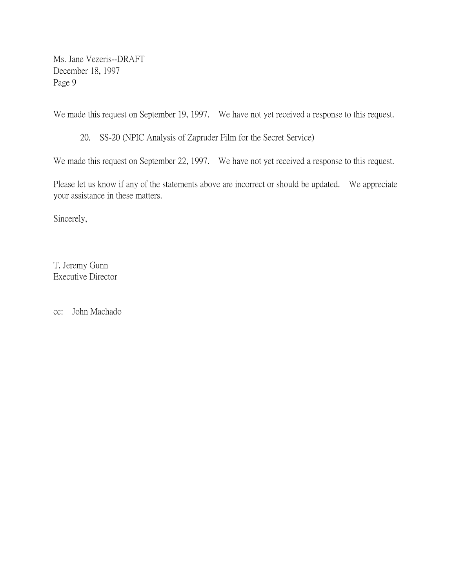We made this request on September 19, 1997. We have not yet received a response to this request.

#### 20. SS-20 (NPIC Analysis of Zapruder Film for the Secret Service)

We made this request on September 22, 1997. We have not yet received a response to this request.

Please let us know if any of the statements above are incorrect or should be updated. We appreciate your assistance in these matters.

Sincerely,

T. Jeremy Gunn Executive Director

cc: John Machado